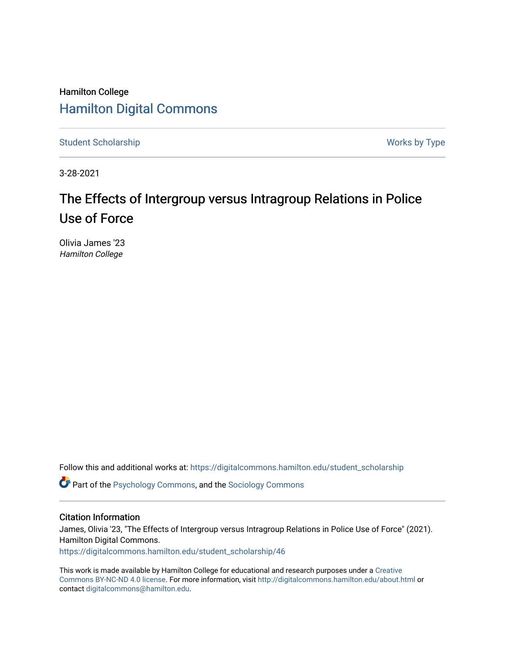# Hamilton College [Hamilton Digital Commons](https://digitalcommons.hamilton.edu/)

[Student Scholarship](https://digitalcommons.hamilton.edu/student_scholarship) Works by Type

3-28-2021

# The Effects of Intergroup versus Intragroup Relations in Police Use of Force

Olivia James '23 Hamilton College

Follow this and additional works at: [https://digitalcommons.hamilton.edu/student\\_scholarship](https://digitalcommons.hamilton.edu/student_scholarship?utm_source=digitalcommons.hamilton.edu%2Fstudent_scholarship%2F46&utm_medium=PDF&utm_campaign=PDFCoverPages) 

Part of the [Psychology Commons,](http://network.bepress.com/hgg/discipline/404?utm_source=digitalcommons.hamilton.edu%2Fstudent_scholarship%2F46&utm_medium=PDF&utm_campaign=PDFCoverPages) and the [Sociology Commons](http://network.bepress.com/hgg/discipline/416?utm_source=digitalcommons.hamilton.edu%2Fstudent_scholarship%2F46&utm_medium=PDF&utm_campaign=PDFCoverPages) 

### Citation Information

James, Olivia '23, "The Effects of Intergroup versus Intragroup Relations in Police Use of Force" (2021). Hamilton Digital Commons. [https://digitalcommons.hamilton.edu/student\\_scholarship/46](https://digitalcommons.hamilton.edu/student_scholarship/46?utm_source=digitalcommons.hamilton.edu%2Fstudent_scholarship%2F46&utm_medium=PDF&utm_campaign=PDFCoverPages)

This work is made available by Hamilton College for educational and research purposes under a [Creative](https://creativecommons.org/licenses/by-nc-nd/4.0/)  [Commons BY-NC-ND 4.0 license.](https://creativecommons.org/licenses/by-nc-nd/4.0/) For more information, visit <http://digitalcommons.hamilton.edu/about.html> or contact [digitalcommons@hamilton.edu.](mailto:digitalcommons@hamilton.edu)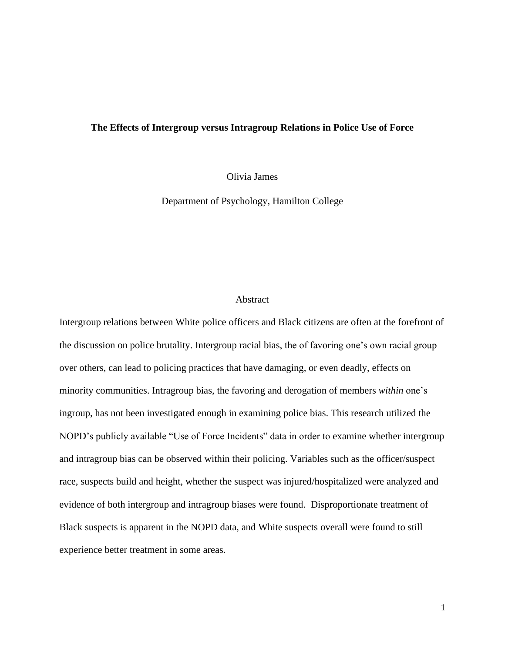### **The Effects of Intergroup versus Intragroup Relations in Police Use of Force**

Olivia James

Department of Psychology, Hamilton College

### Abstract

Intergroup relations between White police officers and Black citizens are often at the forefront of the discussion on police brutality. Intergroup racial bias, the of favoring one's own racial group over others, can lead to policing practices that have damaging, or even deadly, effects on minority communities. Intragroup bias, the favoring and derogation of members *within* one's ingroup, has not been investigated enough in examining police bias. This research utilized the NOPD's publicly available "Use of Force Incidents" data in order to examine whether intergroup and intragroup bias can be observed within their policing. Variables such as the officer/suspect race, suspects build and height, whether the suspect was injured/hospitalized were analyzed and evidence of both intergroup and intragroup biases were found. Disproportionate treatment of Black suspects is apparent in the NOPD data, and White suspects overall were found to still experience better treatment in some areas.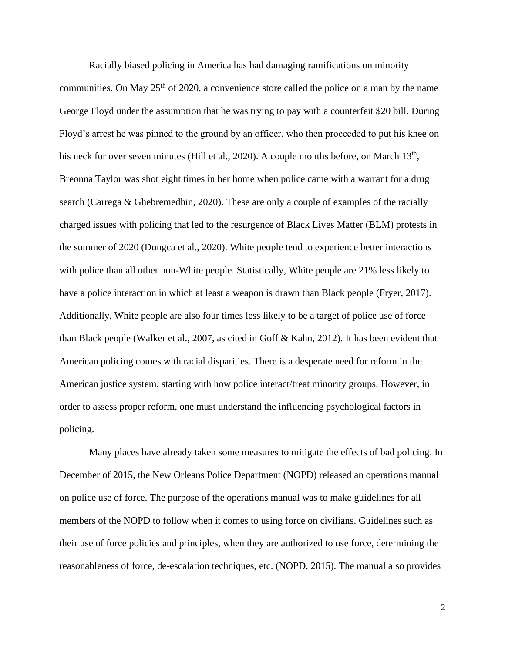Racially biased policing in America has had damaging ramifications on minority communities. On May  $25<sup>th</sup>$  of 2020, a convenience store called the police on a man by the name George Floyd under the assumption that he was trying to pay with a counterfeit \$20 bill. During Floyd's arrest he was pinned to the ground by an officer, who then proceeded to put his knee on his neck for over seven minutes (Hill et al., 2020). A couple months before, on March  $13<sup>th</sup>$ , Breonna Taylor was shot eight times in her home when police came with a warrant for a drug search (Carrega & Ghebremedhin, 2020). These are only a couple of examples of the racially charged issues with policing that led to the resurgence of Black Lives Matter (BLM) protests in the summer of 2020 (Dungca et al., 2020). White people tend to experience better interactions with police than all other non-White people. Statistically, White people are 21% less likely to have a police interaction in which at least a weapon is drawn than Black people (Fryer, 2017). Additionally, White people are also four times less likely to be a target of police use of force than Black people (Walker et al., 2007, as cited in Goff & Kahn, 2012). It has been evident that American policing comes with racial disparities. There is a desperate need for reform in the American justice system, starting with how police interact/treat minority groups. However, in order to assess proper reform, one must understand the influencing psychological factors in policing.

Many places have already taken some measures to mitigate the effects of bad policing. In December of 2015, the New Orleans Police Department (NOPD) released an operations manual on police use of force. The purpose of the operations manual was to make guidelines for all members of the NOPD to follow when it comes to using force on civilians. Guidelines such as their use of force policies and principles, when they are authorized to use force, determining the reasonableness of force, de-escalation techniques, etc. (NOPD, 2015). The manual also provides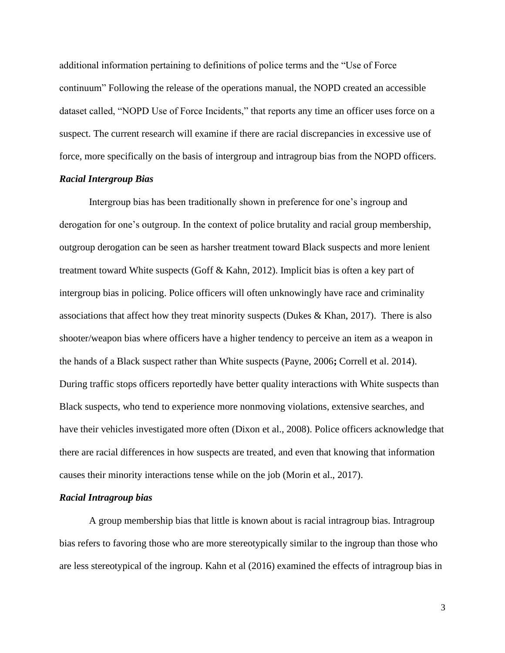additional information pertaining to definitions of police terms and the "Use of Force continuum" Following the release of the operations manual, the NOPD created an accessible dataset called, "NOPD Use of Force Incidents," that reports any time an officer uses force on a suspect. The current research will examine if there are racial discrepancies in excessive use of force, more specifically on the basis of intergroup and intragroup bias from the NOPD officers.

### *Racial Intergroup Bias*

Intergroup bias has been traditionally shown in preference for one's ingroup and derogation for one's outgroup. In the context of police brutality and racial group membership, outgroup derogation can be seen as harsher treatment toward Black suspects and more lenient treatment toward White suspects (Goff & Kahn, 2012). Implicit bias is often a key part of intergroup bias in policing. Police officers will often unknowingly have race and criminality associations that affect how they treat minority suspects (Dukes & Khan, 2017). There is also shooter/weapon bias where officers have a higher tendency to perceive an item as a weapon in the hands of a Black suspect rather than White suspects (Payne, 2006**;** Correll et al. 2014). During traffic stops officers reportedly have better quality interactions with White suspects than Black suspects, who tend to experience more nonmoving violations, extensive searches, and have their vehicles investigated more often (Dixon et al., 2008). Police officers acknowledge that there are racial differences in how suspects are treated, and even that knowing that information causes their minority interactions tense while on the job (Morin et al., 2017).

#### *Racial Intragroup bias*

A group membership bias that little is known about is racial intragroup bias. Intragroup bias refers to favoring those who are more stereotypically similar to the ingroup than those who are less stereotypical of the ingroup. Kahn et al (2016) examined the effects of intragroup bias in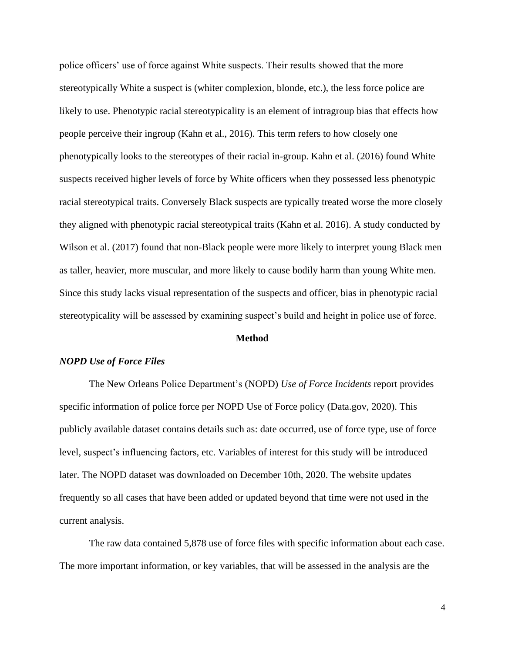police officers' use of force against White suspects. Their results showed that the more stereotypically White a suspect is (whiter complexion, blonde, etc.), the less force police are likely to use. Phenotypic racial stereotypicality is an element of intragroup bias that effects how people perceive their ingroup (Kahn et al., 2016). This term refers to how closely one phenotypically looks to the stereotypes of their racial in-group. Kahn et al. (2016) found White suspects received higher levels of force by White officers when they possessed less phenotypic racial stereotypical traits. Conversely Black suspects are typically treated worse the more closely they aligned with phenotypic racial stereotypical traits (Kahn et al. 2016). A study conducted by Wilson et al. (2017) found that non-Black people were more likely to interpret young Black men as taller, heavier, more muscular, and more likely to cause bodily harm than young White men. Since this study lacks visual representation of the suspects and officer, bias in phenotypic racial stereotypicality will be assessed by examining suspect's build and height in police use of force.

#### **Method**

#### *NOPD Use of Force Files*

The New Orleans Police Department's (NOPD) *Use of Force Incidents* report provides specific information of police force per NOPD Use of Force policy (Data.gov, 2020). This publicly available dataset contains details such as: date occurred, use of force type, use of force level, suspect's influencing factors, etc. Variables of interest for this study will be introduced later. The NOPD dataset was downloaded on December 10th, 2020. The website updates frequently so all cases that have been added or updated beyond that time were not used in the current analysis.

The raw data contained 5,878 use of force files with specific information about each case. The more important information, or key variables, that will be assessed in the analysis are the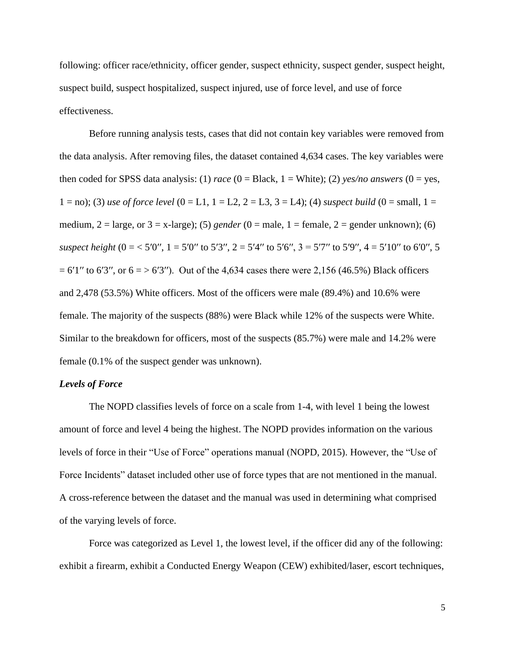following: officer race/ethnicity, officer gender, suspect ethnicity, suspect gender, suspect height, suspect build, suspect hospitalized, suspect injured, use of force level, and use of force effectiveness.

Before running analysis tests, cases that did not contain key variables were removed from the data analysis. After removing files, the dataset contained 4,634 cases. The key variables were then coded for SPSS data analysis: (1) *race* (0 = Black, 1 = White); (2) *yes/no answers* (0 = yes, 1 = no); (3) *use of force level*  $(0 = L1, 1 = L2, 2 = L3, 3 = L4)$ ; (4) *suspect build*  $(0 = small, 1 = L2, 2 = L3, 3 = L4)$ ; medium,  $2 = \text{large}$ , or  $3 = x$ -large); (5) *gender* (0 = male, 1 = female, 2 = gender unknown); (6) *suspect height*  $(0 = 5'0'', 1 = 5'0''$  to  $5'3'', 2 = 5'4''$  to  $5'6'', 3 = 5'7''$  to  $5'9'', 4 = 5'10''$  to  $6'0'', 5'$  $= 6'1''$  to 6'3'', or  $6 = > 6'3''$ ). Out of the 4,634 cases there were 2,156 (46.5%) Black officers and 2,478 (53.5%) White officers. Most of the officers were male (89.4%) and 10.6% were female. The majority of the suspects (88%) were Black while 12% of the suspects were White. Similar to the breakdown for officers, most of the suspects (85.7%) were male and 14.2% were female (0.1% of the suspect gender was unknown).

#### *Levels of Force*

The NOPD classifies levels of force on a scale from 1-4, with level 1 being the lowest amount of force and level 4 being the highest. The NOPD provides information on the various levels of force in their "Use of Force" operations manual (NOPD, 2015). However, the "Use of Force Incidents" dataset included other use of force types that are not mentioned in the manual. A cross-reference between the dataset and the manual was used in determining what comprised of the varying levels of force.

Force was categorized as Level 1, the lowest level, if the officer did any of the following: exhibit a firearm, exhibit a Conducted Energy Weapon (CEW) exhibited/laser, escort techniques,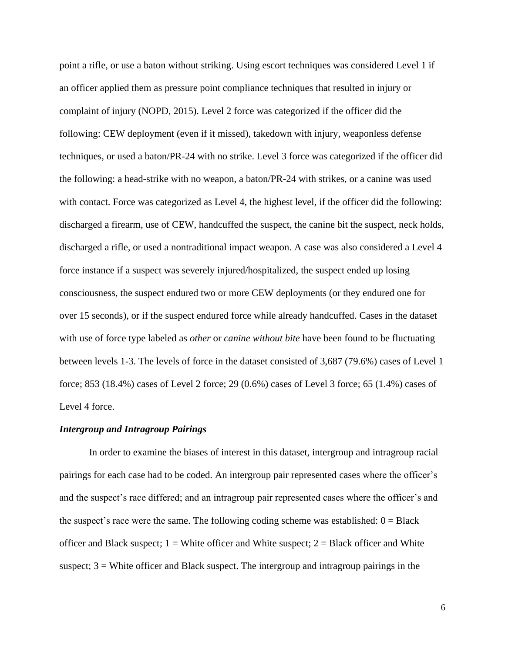point a rifle, or use a baton without striking. Using escort techniques was considered Level 1 if an officer applied them as pressure point compliance techniques that resulted in injury or complaint of injury (NOPD, 2015). Level 2 force was categorized if the officer did the following: CEW deployment (even if it missed), takedown with injury, weaponless defense techniques, or used a baton/PR-24 with no strike. Level 3 force was categorized if the officer did the following: a head-strike with no weapon, a baton/PR-24 with strikes, or a canine was used with contact. Force was categorized as Level 4, the highest level, if the officer did the following: discharged a firearm, use of CEW, handcuffed the suspect, the canine bit the suspect, neck holds, discharged a rifle, or used a nontraditional impact weapon. A case was also considered a Level 4 force instance if a suspect was severely injured/hospitalized, the suspect ended up losing consciousness, the suspect endured two or more CEW deployments (or they endured one for over 15 seconds), or if the suspect endured force while already handcuffed. Cases in the dataset with use of force type labeled as *other* or *canine without bite* have been found to be fluctuating between levels 1-3. The levels of force in the dataset consisted of 3,687 (79.6%) cases of Level 1 force; 853 (18.4%) cases of Level 2 force; 29 (0.6%) cases of Level 3 force; 65 (1.4%) cases of Level 4 force.

#### *Intergroup and Intragroup Pairings*

In order to examine the biases of interest in this dataset, intergroup and intragroup racial pairings for each case had to be coded. An intergroup pair represented cases where the officer's and the suspect's race differed; and an intragroup pair represented cases where the officer's and the suspect's race were the same. The following coding scheme was established:  $0 = Black$ officer and Black suspect;  $1 =$  White officer and White suspect;  $2 =$  Black officer and White suspect;  $3$  = White officer and Black suspect. The intergroup and intragroup pairings in the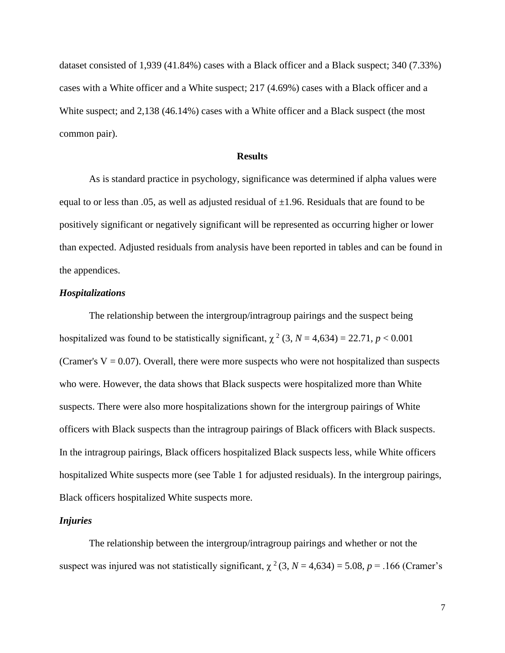dataset consisted of 1,939 (41.84%) cases with a Black officer and a Black suspect; 340 (7.33%) cases with a White officer and a White suspect; 217 (4.69%) cases with a Black officer and a White suspect; and 2,138 (46.14%) cases with a White officer and a Black suspect (the most common pair).

#### **Results**

As is standard practice in psychology, significance was determined if alpha values were equal to or less than .05, as well as adjusted residual of  $\pm 1.96$ . Residuals that are found to be positively significant or negatively significant will be represented as occurring higher or lower than expected. Adjusted residuals from analysis have been reported in tables and can be found in the appendices.

#### *Hospitalizations*

The relationship between the intergroup/intragroup pairings and the suspect being hospitalized was found to be statistically significant,  $\chi^2$  (3, *N* = 4,634) = 22.71, *p* < 0.001 (Cramer's  $V = 0.07$ ). Overall, there were more suspects who were not hospitalized than suspects who were. However, the data shows that Black suspects were hospitalized more than White suspects. There were also more hospitalizations shown for the intergroup pairings of White officers with Black suspects than the intragroup pairings of Black officers with Black suspects. In the intragroup pairings, Black officers hospitalized Black suspects less, while White officers hospitalized White suspects more (see Table 1 for adjusted residuals). In the intergroup pairings, Black officers hospitalized White suspects more.

#### *Injuries*

The relationship between the intergroup/intragroup pairings and whether or not the suspect was injured was not statistically significant,  $\chi^2$  (3, *N* = 4,634) = 5.08, *p* = .166 (Cramer's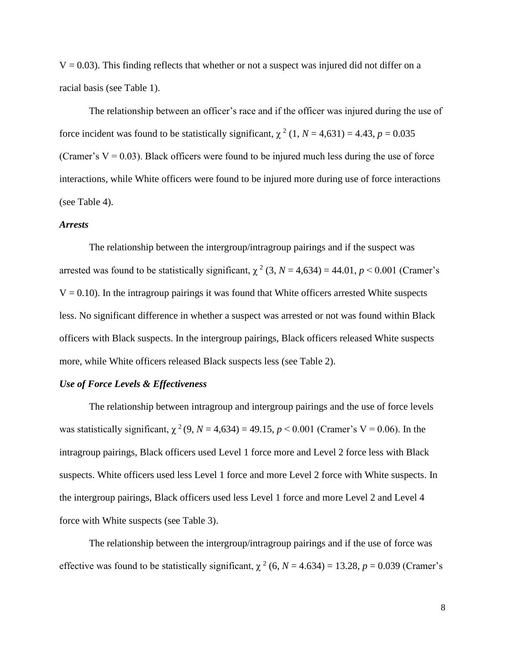$V = 0.03$ ). This finding reflects that whether or not a suspect was injured did not differ on a racial basis (see Table 1).

The relationship between an officer's race and if the officer was injured during the use of force incident was found to be statistically significant,  $\chi^2$  (1, *N* = 4,631) = 4.43, *p* = 0.035 (Cramer's  $V = 0.03$ ). Black officers were found to be injured much less during the use of force interactions, while White officers were found to be injured more during use of force interactions (see Table 4).

#### *Arrests*

The relationship between the intergroup/intragroup pairings and if the suspect was arrested was found to be statistically significant,  $\chi^2$  (3, *N* = 4,634) = 44.01, *p* < 0.001 (Cramer's  $V = 0.10$ ). In the intragroup pairings it was found that White officers arrested White suspects less. No significant difference in whether a suspect was arrested or not was found within Black officers with Black suspects. In the intergroup pairings, Black officers released White suspects more, while White officers released Black suspects less (see Table 2).

#### *Use of Force Levels & Effectiveness*

The relationship between intragroup and intergroup pairings and the use of force levels was statistically significant,  $\chi^2$  (9, *N* = 4,634) = 49.15, *p* < 0.001 (Cramer's V = 0.06). In the intragroup pairings, Black officers used Level 1 force more and Level 2 force less with Black suspects. White officers used less Level 1 force and more Level 2 force with White suspects. In the intergroup pairings, Black officers used less Level 1 force and more Level 2 and Level 4 force with White suspects (see Table 3).

The relationship between the intergroup/intragroup pairings and if the use of force was effective was found to be statistically significant,  $\chi^2$  (6, *N* = 4.634) = 13.28, *p* = 0.039 (Cramer's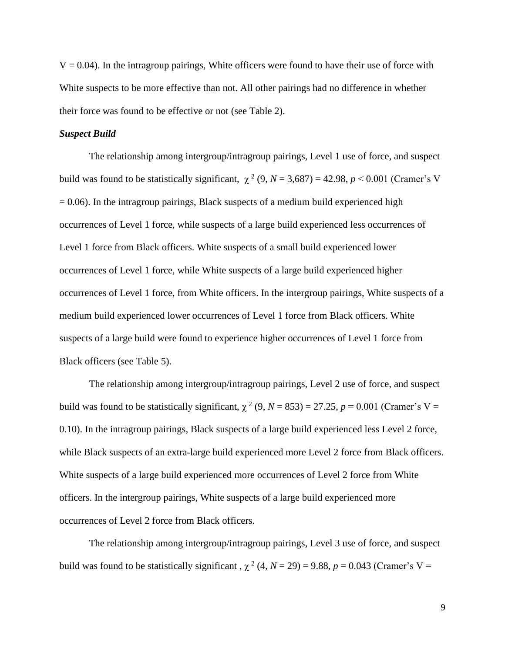$V = 0.04$ ). In the intragroup pairings, White officers were found to have their use of force with White suspects to be more effective than not. All other pairings had no difference in whether their force was found to be effective or not (see Table 2).

#### *Suspect Build*

The relationship among intergroup/intragroup pairings, Level 1 use of force, and suspect build was found to be statistically significant,  $\chi^2$  (9, *N* = 3,687) = 42.98, *p* < 0.001 (Cramer's V  $= 0.06$ ). In the intragroup pairings, Black suspects of a medium build experienced high occurrences of Level 1 force, while suspects of a large build experienced less occurrences of Level 1 force from Black officers. White suspects of a small build experienced lower occurrences of Level 1 force, while White suspects of a large build experienced higher occurrences of Level 1 force, from White officers. In the intergroup pairings, White suspects of a medium build experienced lower occurrences of Level 1 force from Black officers. White suspects of a large build were found to experience higher occurrences of Level 1 force from Black officers (see Table 5).

The relationship among intergroup/intragroup pairings, Level 2 use of force, and suspect build was found to be statistically significant,  $\chi^2$  (9, *N* = 853) = 27.25, *p* = 0.001 (Cramer's V = 0.10). In the intragroup pairings, Black suspects of a large build experienced less Level 2 force, while Black suspects of an extra-large build experienced more Level 2 force from Black officers. White suspects of a large build experienced more occurrences of Level 2 force from White officers. In the intergroup pairings, White suspects of a large build experienced more occurrences of Level 2 force from Black officers.

The relationship among intergroup/intragroup pairings, Level 3 use of force, and suspect build was found to be statistically significant,  $\chi^2$  (4, *N* = 29) = 9.88, *p* = 0.043 (Cramer's V =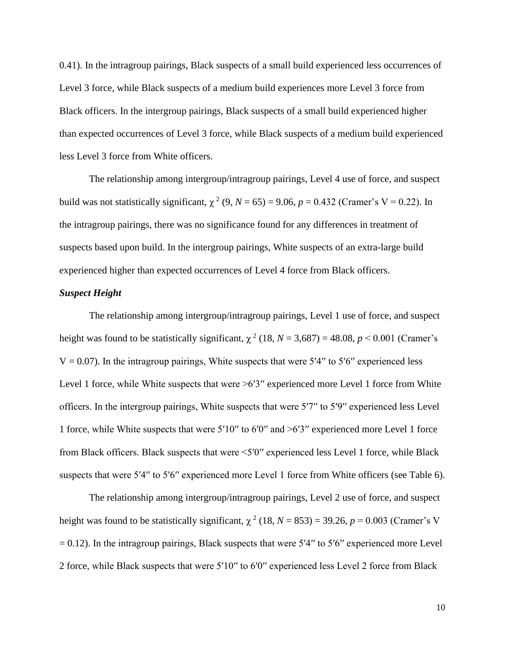0.41). In the intragroup pairings, Black suspects of a small build experienced less occurrences of Level 3 force, while Black suspects of a medium build experiences more Level 3 force from Black officers. In the intergroup pairings, Black suspects of a small build experienced higher than expected occurrences of Level 3 force, while Black suspects of a medium build experienced less Level 3 force from White officers.

The relationship among intergroup/intragroup pairings, Level 4 use of force, and suspect build was not statistically significant,  $\chi^2$  (9, *N* = 65) = 9.06, *p* = 0.432 (Cramer's V = 0.22). In the intragroup pairings, there was no significance found for any differences in treatment of suspects based upon build. In the intergroup pairings, White suspects of an extra-large build experienced higher than expected occurrences of Level 4 force from Black officers.

#### *Suspect Height*

The relationship among intergroup/intragroup pairings, Level 1 use of force, and suspect height was found to be statistically significant,  $\chi^2$  (18, *N* = 3,687) = 48.08, *p* < 0.001 (Cramer's  $V = 0.07$ ). In the intragroup pairings, White suspects that were 5'4" to 5'6" experienced less Level 1 force, while White suspects that were >6'3" experienced more Level 1 force from White officers. In the intergroup pairings, White suspects that were 5′7′′ to 5′9′′ experienced less Level 1 force, while White suspects that were 5′10′′ to 6′0′′ and >6′3′′ experienced more Level 1 force from Black officers. Black suspects that were <5′0′′ experienced less Level 1 force, while Black suspects that were 5'4" to 5'6" experienced more Level 1 force from White officers (see Table 6).

The relationship among intergroup/intragroup pairings, Level 2 use of force, and suspect height was found to be statistically significant,  $\chi^2$  (18, *N* = 853) = 39.26, *p* = 0.003 (Cramer's V  $= 0.12$ ). In the intragroup pairings, Black suspects that were 5′4″ to 5′6″ experienced more Level 2 force, while Black suspects that were 5′10′′ to 6′0′′ experienced less Level 2 force from Black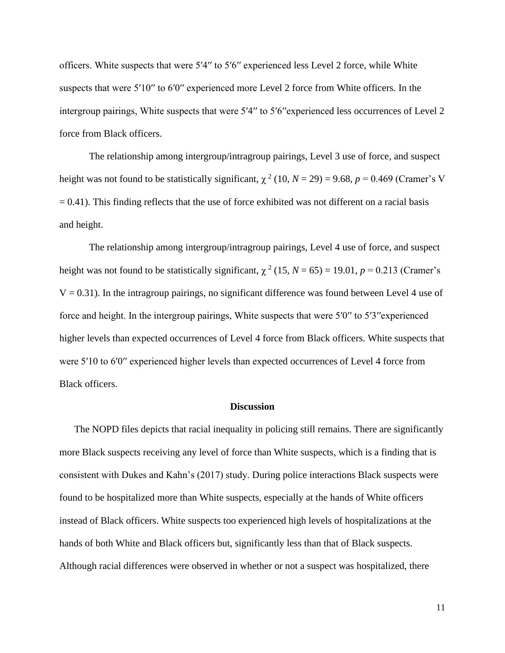officers. White suspects that were 5′4′′ to 5′6′′ experienced less Level 2 force, while White suspects that were 5'10" to 6'0" experienced more Level 2 force from White officers. In the intergroup pairings, White suspects that were 5′4′′ to 5′6′′experienced less occurrences of Level 2 force from Black officers.

The relationship among intergroup/intragroup pairings, Level 3 use of force, and suspect height was not found to be statistically significant,  $\chi^2$  (10, *N* = 29) = 9.68, *p* = 0.469 (Cramer's V  $= 0.41$ ). This finding reflects that the use of force exhibited was not different on a racial basis and height.

The relationship among intergroup/intragroup pairings, Level 4 use of force, and suspect height was not found to be statistically significant,  $\chi^2$  (15, *N* = 65) = 19.01, *p* = 0.213 (Cramer's  $V = 0.31$ ). In the intragroup pairings, no significant difference was found between Level 4 use of force and height. In the intergroup pairings, White suspects that were 5′0″ to 5′3″ experienced higher levels than expected occurrences of Level 4 force from Black officers. White suspects that were 5′10 to 6′0′′ experienced higher levels than expected occurrences of Level 4 force from Black officers.

#### **Discussion**

The NOPD files depicts that racial inequality in policing still remains. There are significantly more Black suspects receiving any level of force than White suspects, which is a finding that is consistent with Dukes and Kahn's (2017) study. During police interactions Black suspects were found to be hospitalized more than White suspects, especially at the hands of White officers instead of Black officers. White suspects too experienced high levels of hospitalizations at the hands of both White and Black officers but, significantly less than that of Black suspects. Although racial differences were observed in whether or not a suspect was hospitalized, there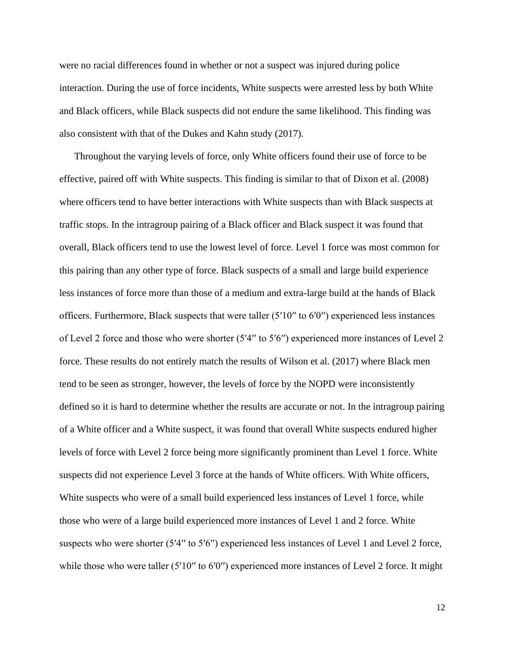were no racial differences found in whether or not a suspect was injured during police interaction. During the use of force incidents, White suspects were arrested less by both White and Black officers, while Black suspects did not endure the same likelihood. This finding was also consistent with that of the Dukes and Kahn study (2017).

Throughout the varying levels of force, only White officers found their use of force to be effective, paired off with White suspects. This finding is similar to that of Dixon et al. (2008) where officers tend to have better interactions with White suspects than with Black suspects at traffic stops. In the intragroup pairing of a Black officer and Black suspect it was found that overall, Black officers tend to use the lowest level of force. Level 1 force was most common for this pairing than any other type of force. Black suspects of a small and large build experience less instances of force more than those of a medium and extra-large build at the hands of Black officers. Furthermore, Black suspects that were taller (5′10′′ to 6′0′′) experienced less instances of Level 2 force and those who were shorter (5′4′′ to 5′6′′) experienced more instances of Level 2 force. These results do not entirely match the results of Wilson et al. (2017) where Black men tend to be seen as stronger, however, the levels of force by the NOPD were inconsistently defined so it is hard to determine whether the results are accurate or not. In the intragroup pairing of a White officer and a White suspect, it was found that overall White suspects endured higher levels of force with Level 2 force being more significantly prominent than Level 1 force. White suspects did not experience Level 3 force at the hands of White officers. With White officers, White suspects who were of a small build experienced less instances of Level 1 force, while those who were of a large build experienced more instances of Level 1 and 2 force. White suspects who were shorter (5'4" to 5'6") experienced less instances of Level 1 and Level 2 force, while those who were taller (5'10" to 6'0") experienced more instances of Level 2 force. It might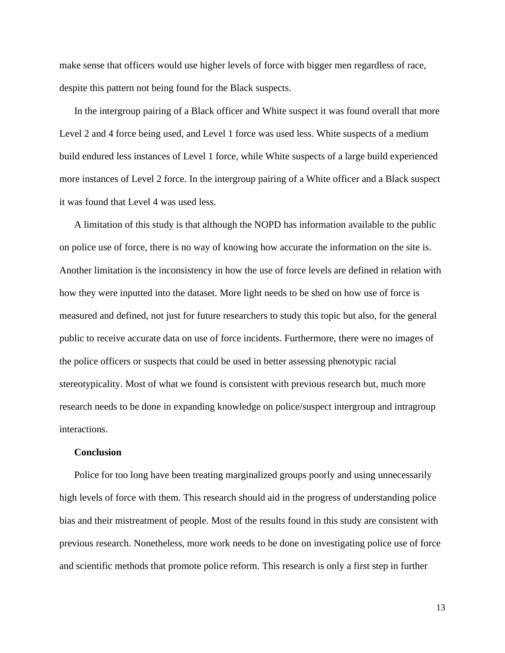make sense that officers would use higher levels of force with bigger men regardless of race, despite this pattern not being found for the Black suspects.

In the intergroup pairing of a Black officer and White suspect it was found overall that more Level 2 and 4 force being used, and Level 1 force was used less. White suspects of a medium build endured less instances of Level 1 force, while White suspects of a large build experienced more instances of Level 2 force. In the intergroup pairing of a White officer and a Black suspect it was found that Level 4 was used less.

A limitation of this study is that although the NOPD has information available to the public on police use of force, there is no way of knowing how accurate the information on the site is. Another limitation is the inconsistency in how the use of force levels are defined in relation with how they were inputted into the dataset. More light needs to be shed on how use of force is measured and defined, not just for future researchers to study this topic but also, for the general public to receive accurate data on use of force incidents. Furthermore, there were no images of the police officers or suspects that could be used in better assessing phenotypic racial stereotypicality. Most of what we found is consistent with previous research but, much more research needs to be done in expanding knowledge on police/suspect intergroup and intragroup interactions.

#### **Conclusion**

Police for too long have been treating marginalized groups poorly and using unnecessarily high levels of force with them. This research should aid in the progress of understanding police bias and their mistreatment of people. Most of the results found in this study are consistent with previous research. Nonetheless, more work needs to be done on investigating police use of force and scientific methods that promote police reform. This research is only a first step in further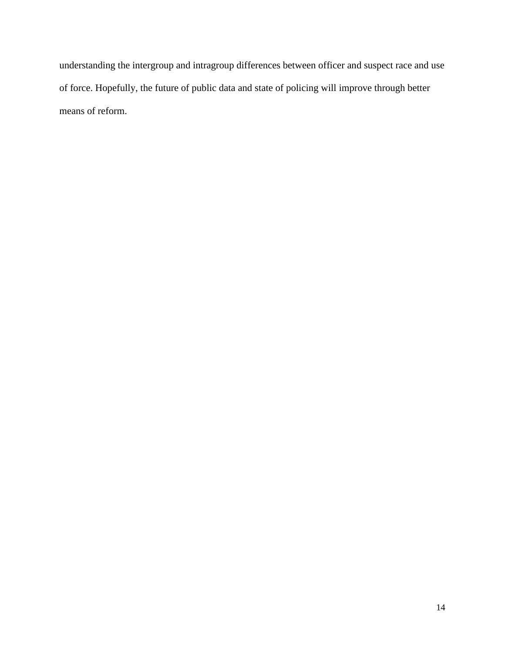understanding the intergroup and intragroup differences between officer and suspect race and use of force. Hopefully, the future of public data and state of policing will improve through better means of reform.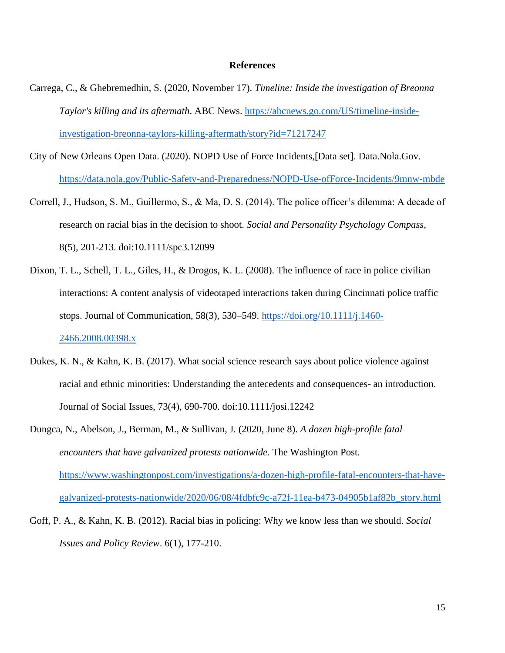#### **References**

- Carrega, C., & Ghebremedhin, S. (2020, November 17). *Timeline: Inside the investigation of Breonna Taylor's killing and its aftermath*. ABC News. [https://abcnews.go.com/US/timeline-inside](https://abcnews.go.com/US/timeline-inside-investigation-breonna-taylors-killing-aftermath/story?id=71217247)[investigation-breonna-taylors-killing-aftermath/story?id=71217247](https://abcnews.go.com/US/timeline-inside-investigation-breonna-taylors-killing-aftermath/story?id=71217247)
- City of New Orleans Open Data. (2020). NOPD Use of Force Incidents,[Data set]. Data.Nola.Gov. <https://data.nola.gov/Public-Safety-and-Preparedness/NOPD-Use-ofForce-Incidents/9mnw-mbde>
- Correll, J., Hudson, S. M., Guillermo, S., & Ma, D. S. (2014). The police officer's dilemma: A decade of research on racial bias in the decision to shoot. *Social and Personality Psychology Compass*, 8(5), 201-213. doi:10.1111/spc3.12099
- Dixon, T. L., Schell, T. L., Giles, H., & Drogos, K. L. (2008). The influence of race in police civilian interactions: A content analysis of videotaped interactions taken during Cincinnati police traffic stops. Journal of Communication, 58(3), 530–549. [https://doi.org/10.1111/j.1460-](https://doi.org/10.1111/j.1460-2466.2008.00398.x) [2466.2008.00398.x](https://doi.org/10.1111/j.1460-2466.2008.00398.x)
- Dukes, K. N., & Kahn, K. B. (2017). What social science research says about police violence against racial and ethnic minorities: Understanding the antecedents and consequences- an introduction. Journal of Social Issues, 73(4), 690-700. doi:10.1111/josi.12242
- Dungca, N., Abelson, J., Berman, M., & Sullivan, J. (2020, June 8). *A dozen high-profile fatal encounters that have galvanized protests nationwide*. The Washington Post. [https://www.washingtonpost.com/investigations/a-dozen-high-profile-fatal-encounters-that-have](https://www.washingtonpost.com/investigations/a-dozen-high-profile-fatal-encounters-that-have-galvanized-protests-nationwide/2020/06/08/4fdbfc9c-a72f-11ea-b473-04905b1af82b_story.html)[galvanized-protests-nationwide/2020/06/08/4fdbfc9c-a72f-11ea-b473-04905b1af82b\\_story.html](https://www.washingtonpost.com/investigations/a-dozen-high-profile-fatal-encounters-that-have-galvanized-protests-nationwide/2020/06/08/4fdbfc9c-a72f-11ea-b473-04905b1af82b_story.html)
- Goff, P. A., & Kahn, K. B. (2012). Racial bias in policing: Why we know less than we should. *Social Issues and Policy Review*. 6(1), 177-210.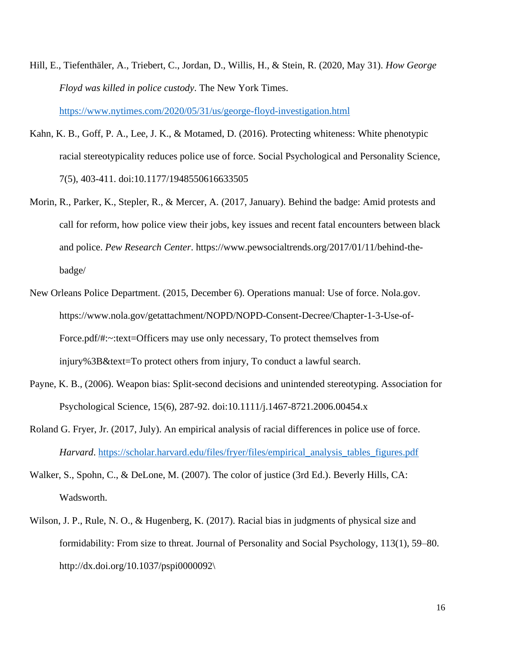- Hill, E., Tiefenthäler, A., Triebert, C., Jordan, D., Willis, H., & Stein, R. (2020, May 31). *How George Floyd was killed in police custody*. The New York Times. <https://www.nytimes.com/2020/05/31/us/george-floyd-investigation.html>
- Kahn, K. B., Goff, P. A., Lee, J. K., & Motamed, D. (2016). Protecting whiteness: White phenotypic racial stereotypicality reduces police use of force. Social Psychological and Personality Science, 7(5), 403-411. doi:10.1177/1948550616633505
- Morin, R., Parker, K., Stepler, R., & Mercer, A. (2017, January). Behind the badge: Amid protests and call for reform, how police view their jobs, key issues and recent fatal encounters between black and police. *Pew Research Center*. https://www.pewsocialtrends.org/2017/01/11/behind-thebadge/
- New Orleans Police Department. (2015, December 6). Operations manual: Use of force. Nola.gov. https://www.nola.gov/getattachment/NOPD/NOPD-Consent-Decree/Chapter-1-3-Use-of-Force.pdf/#:~:text=Officers may use only necessary, To protect themselves from injury%3B&text=To protect others from injury, To conduct a lawful search.
- Payne, K. B., (2006). Weapon bias: Split-second decisions and unintended stereotyping. Association for Psychological Science, 15(6), 287-92. doi:10.1111/j.1467-8721.2006.00454.x
- Roland G. Fryer, Jr. (2017, July). An empirical analysis of racial differences in police use of force. *Harvard*. [https://scholar.harvard.edu/files/fryer/files/empirical\\_analysis\\_tables\\_figures.pdf](https://scholar.harvard.edu/files/fryer/files/empirical_analysis_tables_figures.pdf)
- Walker, S., Spohn, C., & DeLone, M. (2007). The color of justice (3rd Ed.). Beverly Hills, CA: Wadsworth.
- Wilson, J. P., Rule, N. O., & Hugenberg, K. (2017). Racial bias in judgments of physical size and formidability: From size to threat. Journal of Personality and Social Psychology, 113(1), 59–80. http://dx.doi.org/10.1037/pspi0000092\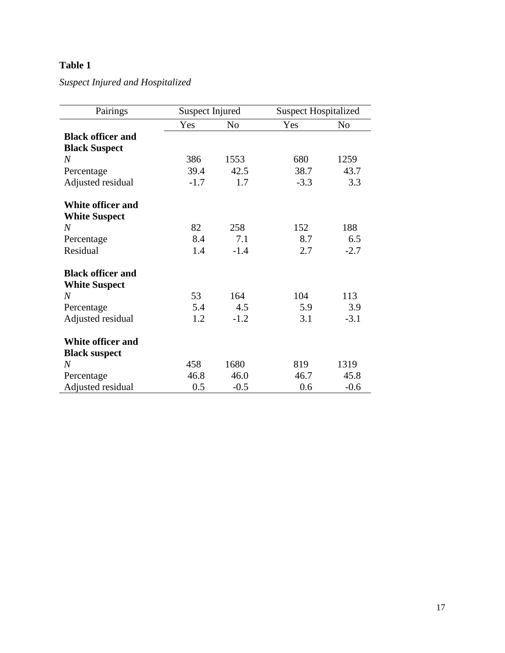*Suspect Injured and Hospitalized* 

| Pairings                 | <b>Suspect Injured</b> |                | <b>Suspect Hospitalized</b> |                |
|--------------------------|------------------------|----------------|-----------------------------|----------------|
|                          | Yes                    | N <sub>0</sub> | Yes                         | N <sub>0</sub> |
| <b>Black officer and</b> |                        |                |                             |                |
| <b>Black Suspect</b>     |                        |                |                             |                |
| $\overline{N}$           | 386                    | 1553           | 680                         | 1259           |
| Percentage               | 39.4                   | 42.5           | 38.7                        | 43.7           |
| Adjusted residual        | $-1.7$                 | 1.7            | $-3.3$                      | 3.3            |
| <b>White officer and</b> |                        |                |                             |                |
| <b>White Suspect</b>     |                        |                |                             |                |
| $\overline{N}$           | 82                     | 258            | 152                         | 188            |
| Percentage               | 8.4                    | 7.1            | 8.7                         | 6.5            |
| Residual                 | 1.4                    | $-1.4$         | 2.7                         | $-2.7$         |
| <b>Black officer and</b> |                        |                |                             |                |
| <b>White Suspect</b>     |                        |                |                             |                |
| $\overline{N}$           | 53                     | 164            | 104                         | 113            |
| Percentage               | 5.4                    | 4.5            | 5.9                         | 3.9            |
| Adjusted residual        | 1.2                    | $-1.2$         | 3.1                         | $-3.1$         |
| <b>White officer and</b> |                        |                |                             |                |
| <b>Black suspect</b>     |                        |                |                             |                |
| $\overline{N}$           | 458                    | 1680           | 819                         | 1319           |
| Percentage               | 46.8                   | 46.0           | 46.7                        | 45.8           |
| Adjusted residual        | 0.5                    | $-0.5$         | 0.6                         | $-0.6$         |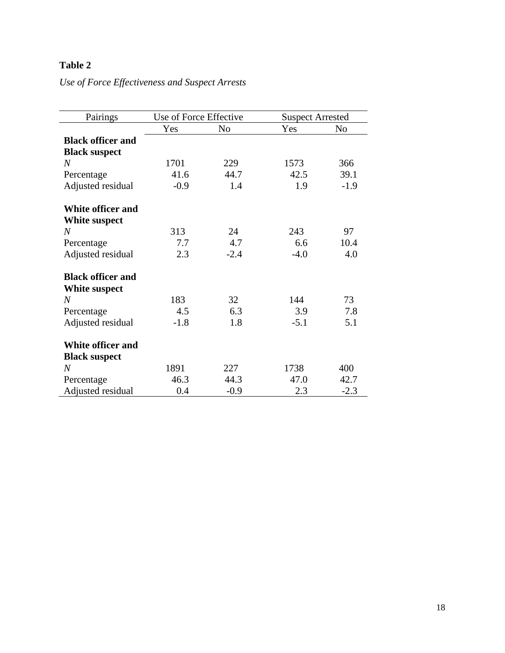*Use of Force Effectiveness and Suspect Arrests*

| Pairings                 | Use of Force Effective |                | <b>Suspect Arrested</b> |                |
|--------------------------|------------------------|----------------|-------------------------|----------------|
|                          | Yes                    | N <sub>o</sub> | Yes                     | N <sub>o</sub> |
| <b>Black officer and</b> |                        |                |                         |                |
| <b>Black suspect</b>     |                        |                |                         |                |
| $\overline{N}$           | 1701                   | 229            | 1573                    | 366            |
| Percentage               | 41.6                   | 44.7           | 42.5                    | 39.1           |
| Adjusted residual        | $-0.9$                 | 1.4            | 1.9                     | $-1.9$         |
| <b>White officer and</b> |                        |                |                         |                |
| White suspect            |                        |                |                         |                |
| $\overline{N}$           | 313                    | 24             | 243                     | 97             |
| Percentage               | 7.7                    | 4.7            | 6.6                     | 10.4           |
| Adjusted residual        | 2.3                    | $-2.4$         | $-4.0$                  | 4.0            |
| <b>Black officer and</b> |                        |                |                         |                |
| White suspect            |                        |                |                         |                |
| $\overline{N}$           | 183                    | 32             | 144                     | 73             |
| Percentage               | 4.5                    | 6.3            | 3.9                     | 7.8            |
| Adjusted residual        | $-1.8$                 | 1.8            | $-5.1$                  | 5.1            |
| <b>White officer and</b> |                        |                |                         |                |
| <b>Black suspect</b>     |                        |                |                         |                |
| $\overline{N}$           | 1891                   | 227            | 1738                    | 400            |
| Percentage               | 46.3                   | 44.3           | 47.0                    | 42.7           |
| Adjusted residual        | 0.4                    | $-0.9$         | 2.3                     | $-2.3$         |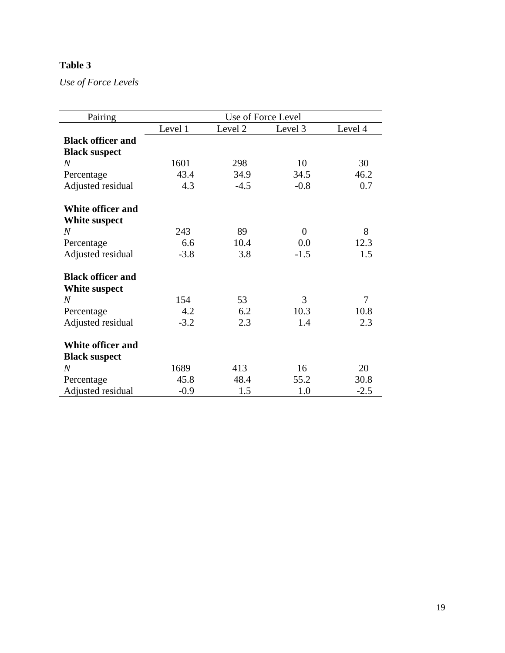*Use of Force Levels*

| Pairing                  | Use of Force Level |         |                |         |  |  |
|--------------------------|--------------------|---------|----------------|---------|--|--|
|                          | Level 1            | Level 2 | Level 3        | Level 4 |  |  |
| <b>Black officer and</b> |                    |         |                |         |  |  |
| <b>Black suspect</b>     |                    |         |                |         |  |  |
| $\overline{N}$           | 1601               | 298     | 10             | 30      |  |  |
| Percentage               | 43.4               | 34.9    | 34.5           | 46.2    |  |  |
| Adjusted residual        | 4.3                | $-4.5$  | $-0.8$         | 0.7     |  |  |
| White officer and        |                    |         |                |         |  |  |
| White suspect            |                    |         |                |         |  |  |
| N                        | 243                | 89      | $\overline{0}$ | 8       |  |  |
| Percentage               | 6.6                | 10.4    | 0.0            | 12.3    |  |  |
| Adjusted residual        | $-3.8$             | 3.8     | $-1.5$         | 1.5     |  |  |
| <b>Black officer and</b> |                    |         |                |         |  |  |
| White suspect            |                    |         |                |         |  |  |
| N                        | 154                | 53      | 3              | 7       |  |  |
| Percentage               | 4.2                | 6.2     | 10.3           | 10.8    |  |  |
| Adjusted residual        | $-3.2$             | 2.3     | 1.4            | 2.3     |  |  |
| <b>White officer and</b> |                    |         |                |         |  |  |
| <b>Black suspect</b>     |                    |         |                |         |  |  |
| $\overline{N}$           | 1689               | 413     | 16             | 20      |  |  |
| Percentage               | 45.8               | 48.4    | 55.2           | 30.8    |  |  |
| Adjusted residual        | $-0.9$             | 1.5     | 1.0            | $-2.5$  |  |  |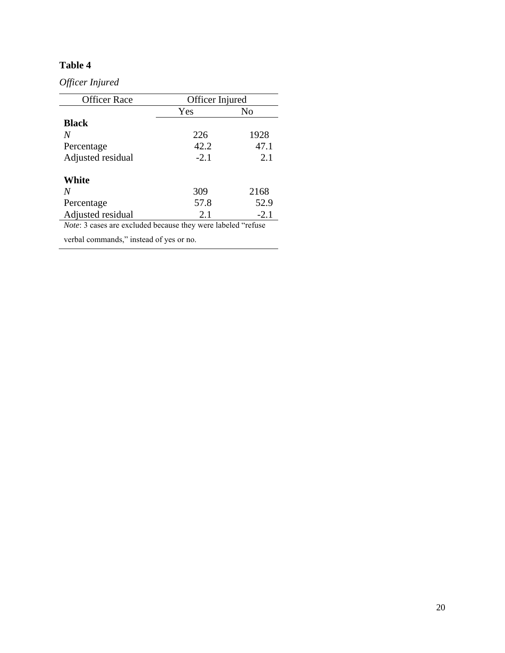*Officer Injured* 

| <b>Officer Race</b> | Officer Injured |        |  |  |
|---------------------|-----------------|--------|--|--|
|                     | Yes             | No     |  |  |
| <b>Black</b>        |                 |        |  |  |
| N                   | 226             | 1928   |  |  |
| Percentage          | 42.2            | 47.1   |  |  |
| Adjusted residual   | $-2.1$          | 2.1    |  |  |
| White               |                 |        |  |  |
| N                   | 309             | 2168   |  |  |
| Percentage          | 57.8            | 52.9   |  |  |
| Adjusted residual   | 2.1             | $-2.1$ |  |  |

*Note*: 3 cases are excluded because they were labeled "refuse

verbal commands," instead of yes or no.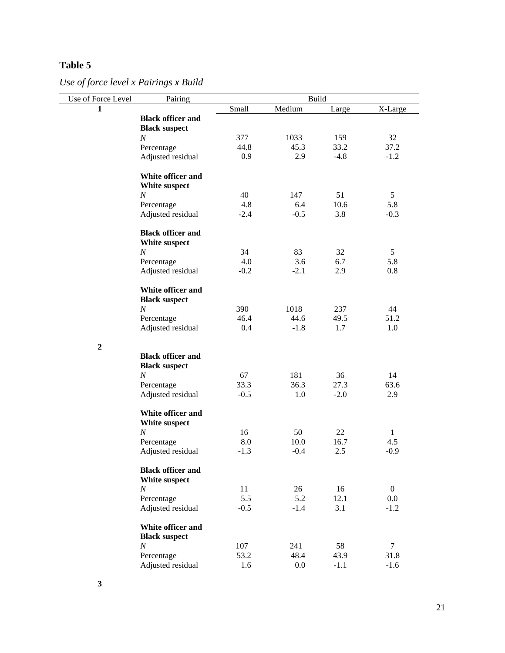*Use of force level x Pairings x Build*

| Use of Force Level | Pairing                                          |        |         | <b>Build</b> |                |
|--------------------|--------------------------------------------------|--------|---------|--------------|----------------|
| 1                  |                                                  | Small  | Medium  | Large        | X-Large        |
|                    | <b>Black officer and</b>                         |        |         |              |                |
|                    | <b>Black suspect</b>                             |        |         |              |                |
|                    | $\cal N$                                         | 377    | 1033    | 159          | 32             |
|                    | Percentage                                       | 44.8   | 45.3    | 33.2         | 37.2           |
|                    | Adjusted residual                                | 0.9    | 2.9     | $-4.8$       | $-1.2$         |
|                    | White officer and<br>White suspect               |        |         |              |                |
|                    | $\cal N$                                         | 40     | 147     | 51           | 5              |
|                    | Percentage                                       | 4.8    | 6.4     | 10.6         | 5.8            |
|                    | Adjusted residual                                | $-2.4$ | $-0.5$  | 3.8          | $-0.3$         |
|                    |                                                  |        |         |              |                |
|                    | <b>Black officer and</b><br>White suspect        |        |         |              |                |
|                    | $\cal N$                                         | 34     | 83      | 32           | 5              |
|                    | Percentage                                       | 4.0    | 3.6     | 6.7          | 5.8            |
|                    | Adjusted residual                                | $-0.2$ | $-2.1$  | 2.9          | 0.8            |
|                    | White officer and<br><b>Black suspect</b>        |        |         |              |                |
|                    | $\cal N$                                         | 390    | 1018    | 237          | 44             |
|                    | Percentage                                       | 46.4   | 44.6    | 49.5         | 51.2           |
|                    | Adjusted residual                                | 0.4    | $-1.8$  | 1.7          | 1.0            |
| $\overline{2}$     |                                                  |        |         |              |                |
|                    | <b>Black officer and</b><br><b>Black suspect</b> |        |         |              |                |
|                    | $\cal N$                                         | 67     | 181     | 36           | 14             |
|                    | Percentage                                       | 33.3   | 36.3    | 27.3         | 63.6           |
|                    | Adjusted residual                                | $-0.5$ | 1.0     | $-2.0$       | 2.9            |
|                    | White officer and<br>White suspect               |        |         |              |                |
|                    | $\cal N$                                         | 16     | 50      | 22           | 1              |
|                    | Percentage                                       | 8.0    | 10.0    | 16.7         | 4.5            |
|                    | Adjusted residual                                | $-1.3$ | $-0.4$  | 2.5          | $-0.9$         |
|                    | <b>Black officer and</b><br>White suspect        |        |         |              |                |
|                    | $\boldsymbol{N}$                                 | 11     | 26      | 16           | $\overline{0}$ |
|                    | Percentage                                       | 5.5    | 5.2     | 12.1         | $0.0\,$        |
|                    | Adjusted residual                                | $-0.5$ | $-1.4$  | 3.1          | $-1.2$         |
|                    | White officer and<br><b>Black suspect</b>        |        |         |              |                |
|                    | $\cal N$                                         | 107    | 241     | 58           | $\tau$         |
|                    | Percentage                                       | 53.2   | 48.4    | 43.9         | 31.8           |
|                    | Adjusted residual                                | 1.6    | $0.0\,$ | $-1.1$       | $-1.6$         |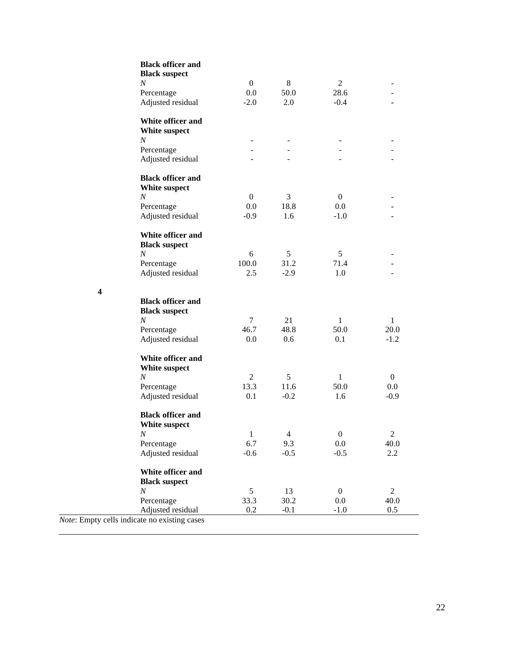| <b>Black officer and</b><br><b>Black suspect</b> |                |                          |                  |                |
|--------------------------------------------------|----------------|--------------------------|------------------|----------------|
| $\boldsymbol{N}$                                 | $\overline{0}$ | 8                        | 2                |                |
| Percentage                                       | $0.0\,$        | 50.0                     | 28.6             |                |
| Adjusted residual                                | $-2.0$         | 2.0                      | $-0.4$           |                |
| White officer and<br>White suspect<br>N          |                |                          |                  |                |
| Percentage                                       |                | $\overline{\phantom{a}}$ | ۰                |                |
| Adjusted residual                                |                |                          |                  |                |
| <b>Black officer and</b><br>White suspect        |                |                          |                  |                |
| $\boldsymbol{N}$                                 | $\overline{0}$ | 3                        | $\overline{0}$   |                |
| Percentage                                       | 0.0            | 18.8                     | 0.0              |                |
| Adjusted residual                                | $-0.9$         | 1.6                      | $-1.0$           |                |
| White officer and<br><b>Black suspect</b>        |                |                          |                  |                |
| $\boldsymbol{N}$                                 | 6              | 5                        | 5                |                |
| Percentage                                       | 100.0          | 31.2                     | 71.4             |                |
| Adjusted residual                                | 2.5            | $-2.9$                   | 1.0              |                |
| <b>Black officer and</b><br><b>Black suspect</b> |                |                          |                  |                |
| $\cal N$                                         | 7              | 21                       | $\mathbf{1}$     | $\mathbf{1}$   |
| Percentage                                       | 46.7           | 48.8                     | 50.0             | 20.0           |
| Adjusted residual                                | 0.0            | 0.6                      | 0.1              | $-1.2$         |
| White officer and<br>White suspect               |                |                          |                  |                |
| N                                                | 2              | 5                        | $\mathbf{1}$     | $\mathbf{0}$   |
| Percentage                                       | 13.3           | 11.6                     | 50.0             | $0.0\,$        |
| Adjusted residual                                | 0.1            | $-0.2$                   | 1.6              | $-0.9$         |
| <b>Black officer and</b><br>White suspect        |                |                          |                  |                |
| $\cal N$                                         | $\,1$          | $\overline{4}$           | $\boldsymbol{0}$ | $\overline{c}$ |
| Percentage                                       | 6.7            | 9.3                      | 0.0              | 40.0           |
| Adjusted residual                                | $-0.6$         | $-0.5$                   | $-0.5$           | $2.2\,$        |
| White officer and<br><b>Black suspect</b>        |                |                          |                  |                |
| $\boldsymbol{N}$                                 | 5              | 13                       | $\mathbf{0}$     | $\overline{2}$ |
| Percentage                                       | 33.3           | 30.2                     | 0.0              | 40.0           |
| Adjusted residual                                | 0.2            | $-0.1$                   | $-1.0$           | 0.5            |
| cells indicate no existing cases                 |                |                          |                  |                |

*Note*: Empty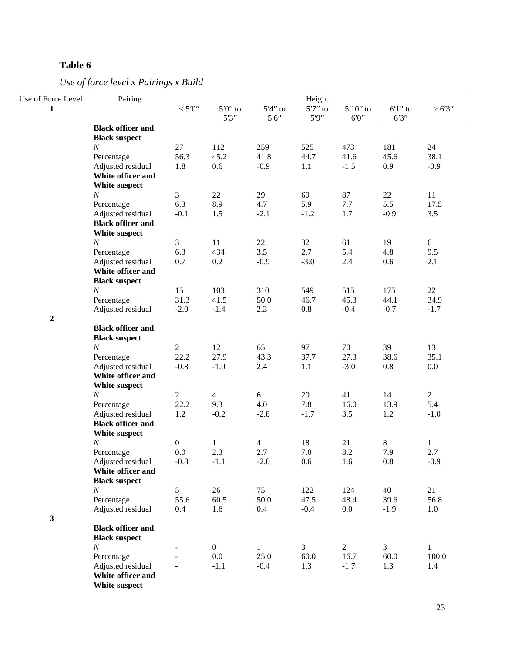*Use of force level x Pairings x Build*

| Use of Force Level | Pairing                                |                  |                     |                       | Height     |             |             |                     |
|--------------------|----------------------------------------|------------------|---------------------|-----------------------|------------|-------------|-------------|---------------------|
| 1                  |                                        | $<$ 5'0"         | $5'0''$ to          | $5'4''$ to            | $5'7''$ to | $5'10''$ to | $6'1''$ to  | >6'3''              |
|                    |                                        |                  | 5'3''               | $5'6''$               | 5'9''      | $6'0''$     | 6'3''       |                     |
|                    | <b>Black officer and</b>               |                  |                     |                       |            |             |             |                     |
|                    | <b>Black suspect</b>                   |                  |                     |                       |            |             |             |                     |
|                    | $\boldsymbol{N}$                       | 27               | 112                 | 259                   | 525        | 473         | 181         | 24                  |
|                    | Percentage                             | 56.3<br>1.8      | 45.2                | 41.8                  | 44.7       | 41.6        | 45.6<br>0.9 | 38.1                |
|                    | Adjusted residual<br>White officer and |                  | 0.6                 | $-0.9$                | 1.1        | $-1.5$      |             | $-0.9$              |
|                    | White suspect                          |                  |                     |                       |            |             |             |                     |
|                    | $\boldsymbol{N}$                       | $\mathfrak{Z}$   | 22                  | 29                    | 69         | 87          | 22          | 11                  |
|                    | Percentage                             | 6.3              | 8.9                 | 4.7                   | 5.9        | 7.7         | 5.5         | 17.5                |
|                    | Adjusted residual                      | $-0.1$           | 1.5                 | $-2.1$                | $-1.2$     | 1.7         | $-0.9$      | 3.5                 |
|                    | <b>Black officer and</b>               |                  |                     |                       |            |             |             |                     |
|                    | White suspect                          |                  |                     |                       |            |             |             |                     |
|                    | $\cal N$                               | $\mathfrak{Z}$   | 11                  | 22                    | 32         | 61          | 19          | 6                   |
|                    | Percentage                             | 6.3              | 434                 | 3.5                   | 2.7        | 5.4         | 4.8         | 9.5                 |
|                    | Adjusted residual                      | 0.7              | 0.2                 | $-0.9$                | $-3.0$     | 2.4         | 0.6         | 2.1                 |
|                    | White officer and                      |                  |                     |                       |            |             |             |                     |
|                    | <b>Black suspect</b>                   |                  |                     |                       |            |             |             |                     |
|                    | $\boldsymbol{N}$                       | 15               | 103                 | 310                   | 549        | 515         | 175         | 22                  |
|                    | Percentage                             | 31.3             | 41.5                | 50.0                  | 46.7       | 45.3        | 44.1        | 34.9                |
|                    | Adjusted residual                      | $-2.0$           | $-1.4$              | 2.3                   | 0.8        | $-0.4$      | $-0.7$      | $-1.7$              |
| $\boldsymbol{2}$   |                                        |                  |                     |                       |            |             |             |                     |
|                    | <b>Black officer and</b>               |                  |                     |                       |            |             |             |                     |
|                    | <b>Black suspect</b>                   |                  |                     |                       |            |             |             |                     |
|                    | $\cal N$                               | $\overline{2}$   | 12                  | 65                    | 97         | 70          | 39          | 13                  |
|                    | Percentage                             | 22.2             | 27.9                | 43.3                  | 37.7       | 27.3        | 38.6        | 35.1                |
|                    | Adjusted residual                      | $-0.8$           | $-1.0$              | 2.4                   | 1.1        | $-3.0$      | $0.8\,$     | $0.0\,$             |
|                    | White officer and                      |                  |                     |                       |            |             |             |                     |
|                    | White suspect                          |                  |                     |                       |            |             |             |                     |
|                    | $\cal N$                               | $\sqrt{2}$       | $\overline{4}$      | 6                     | 20         | 41          | 14          | $\overline{2}$      |
|                    | Percentage                             | 22.2             | 9.3                 | 4.0                   | 7.8        | 16.0        | 13.9        | 5.4                 |
|                    | Adjusted residual                      | 1.2              | $-0.2$              | $-2.8$                | $-1.7$     | 3.5         | 1.2         | $-1.0$              |
|                    | <b>Black officer and</b>               |                  |                     |                       |            |             |             |                     |
|                    | White suspect<br>$\boldsymbol{N}$      | $\boldsymbol{0}$ |                     |                       |            | 21          | 8           |                     |
|                    | Percentage                             | 0.0              | $\mathbf{1}$<br>2.3 | $\overline{4}$<br>2.7 | 18<br>7.0  | 8.2         | 7.9         | $\mathbf{1}$<br>2.7 |
|                    | Adjusted residual                      | $-0.8$           | $-1.1$              | $-2.0$                | 0.6        | 1.6         | $0.8\,$     | $-0.9$              |
|                    | White officer and                      |                  |                     |                       |            |             |             |                     |
|                    | <b>Black suspect</b>                   |                  |                     |                       |            |             |             |                     |
|                    | $\boldsymbol{N}$                       | 5                | 26                  | 75                    | 122        | 124         | 40          | 21                  |
|                    | Percentage                             | 55.6             | 60.5                | 50.0                  | 47.5       | 48.4        | 39.6        | 56.8                |
|                    | Adjusted residual                      | 0.4              | 1.6                 | 0.4                   | $-0.4$     | $0.0\,$     | $-1.9$      | 1.0                 |
| $\mathbf{3}$       |                                        |                  |                     |                       |            |             |             |                     |
|                    | <b>Black officer and</b>               |                  |                     |                       |            |             |             |                     |
|                    | <b>Black suspect</b>                   |                  |                     |                       |            |             |             |                     |
|                    | $\boldsymbol{N}$                       |                  | $\boldsymbol{0}$    | $\mathbf{1}$          | 3          | $\sqrt{2}$  | 3           | $\mathbf{1}$        |
|                    | Percentage                             |                  | 0.0                 | 25.0                  | 60.0       | 16.7        | 60.0        | 100.0               |
|                    | Adjusted residual                      |                  | $-1.1$              | $-0.4$                | 1.3        | $-1.7$      | 1.3         | 1.4                 |
|                    | White officer and                      |                  |                     |                       |            |             |             |                     |
|                    | White suspect                          |                  |                     |                       |            |             |             |                     |